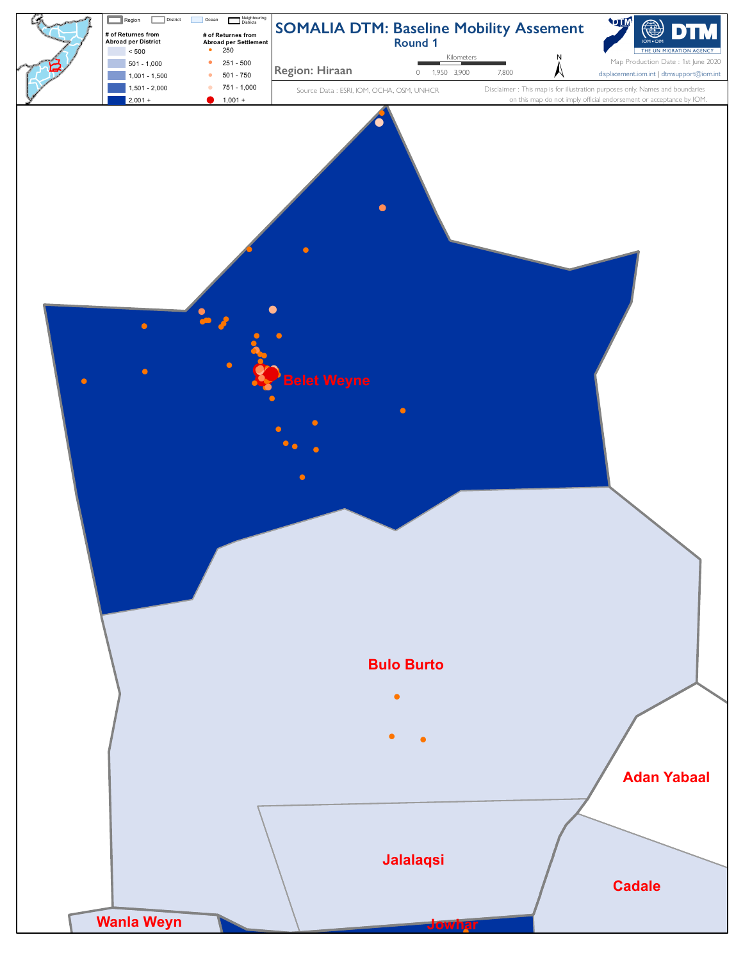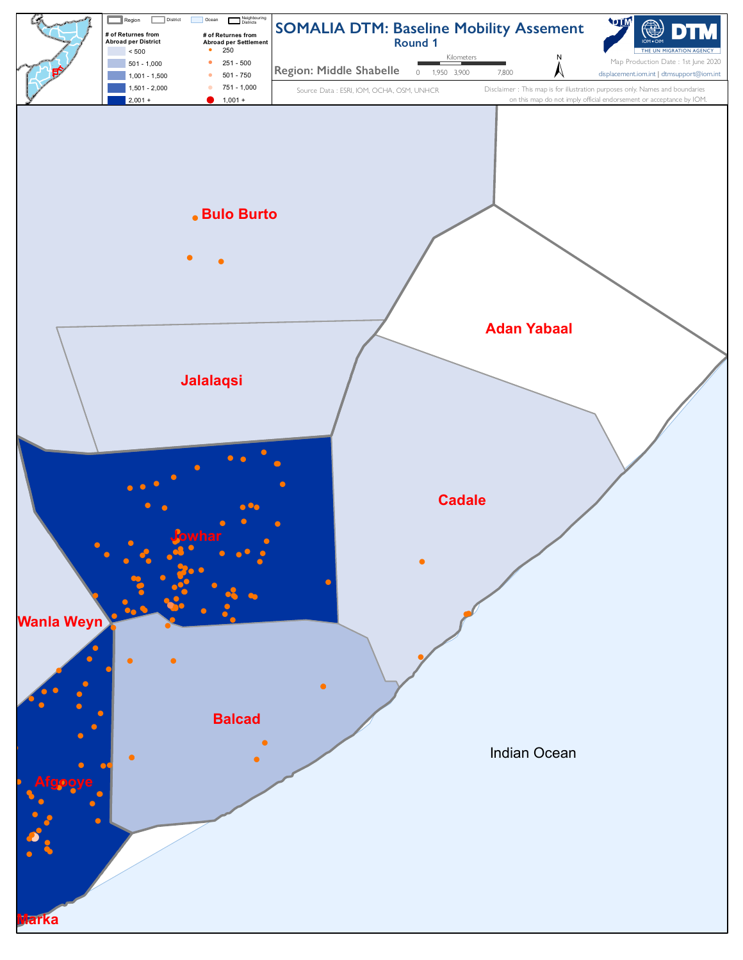